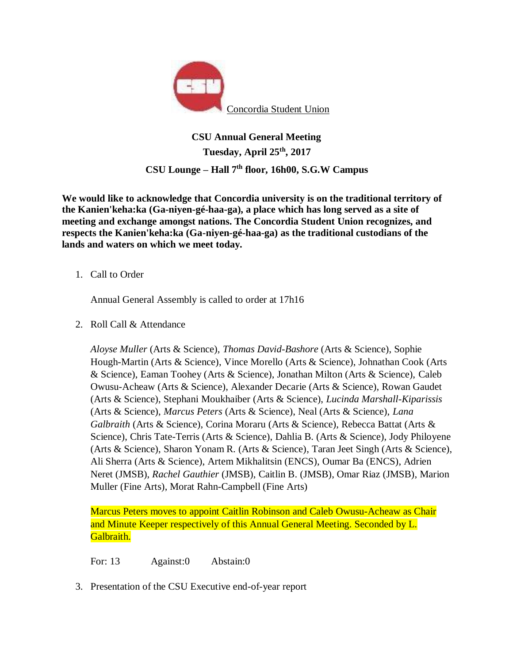

**CSU Annual General Meeting Tuesday, April 25th, 2017 CSU Lounge – Hall 7 th floor, 16h00, S.G.W Campus**

**We would like to acknowledge that Concordia university is on the traditional territory of the Kanien'keha:ka (Ga-niyen-gé-haa-ga), a place which has long served as a site of meeting and exchange amongst nations. The Concordia Student Union recognizes, and respects the Kanien'keha:ka (Ga-niyen-gé-haa-ga) as the traditional custodians of the lands and waters on which we meet today.** 

1. Call to Order

Annual General Assembly is called to order at 17h16

2. Roll Call & Attendance

*Aloyse Muller* (Arts & Science), *Thomas David-Bashore* (Arts & Science), Sophie Hough-Martin (Arts & Science), Vince Morello (Arts & Science), Johnathan Cook (Arts & Science), Eaman Toohey (Arts & Science), Jonathan Milton (Arts & Science), Caleb Owusu-Acheaw (Arts & Science), Alexander Decarie (Arts & Science), Rowan Gaudet (Arts & Science), Stephani Moukhaiber (Arts & Science), *Lucinda Marshall-Kiparissis* (Arts & Science), *Marcus Peters* (Arts & Science), Neal (Arts & Science), *Lana Galbraith* (Arts & Science), Corina Moraru (Arts & Science), Rebecca Battat (Arts & Science), Chris Tate-Terris (Arts & Science), Dahlia B. (Arts & Science), Jody Philoyene (Arts & Science), Sharon Yonam R. (Arts & Science), Taran Jeet Singh (Arts & Science), Ali Sherra (Arts & Science), Artem Mikhalitsin (ENCS), Oumar Ba (ENCS), Adrien Neret (JMSB), *Rachel Gauthier* (JMSB), Caitlin B. (JMSB), Omar Riaz (JMSB), Marion Muller (Fine Arts), Morat Rahn-Campbell (Fine Arts)

Marcus Peters moves to appoint Caitlin Robinson and Caleb Owusu-Acheaw as Chair and Minute Keeper respectively of this Annual General Meeting. Seconded by L. Galbraith.

For: 13 Against:0 Abstain:0

3. Presentation of the CSU Executive end-of-year report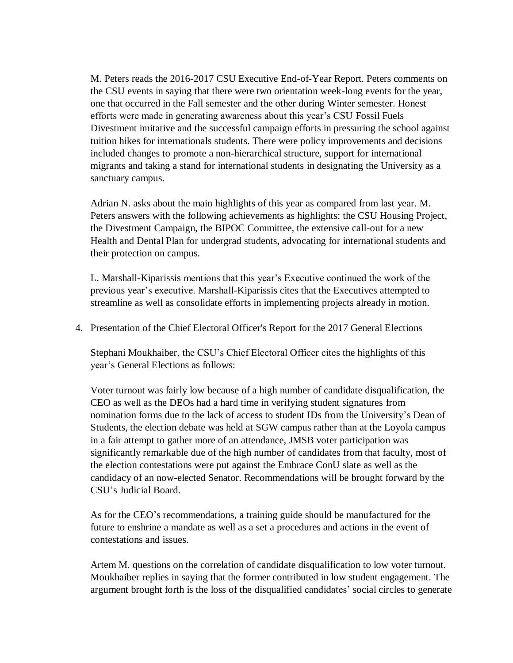M. Peters reads the 2016-2017 CSU Executive End-of-Year Report. Peters comments on the CSU events in saying that there were two orientation week-long events for the year, one that occurred in the Fall semester and the other during Winter semester. Honest efforts were made in generating awareness about this year's CSU Fossil Fuels Divestment imitative and the successful campaign efforts in pressuring the school against tuition hikes for internationals students. There were policy improvements and decisions included changes to promote a non-hierarchical structure, support for international migrants and taking a stand for international students in designating the University as a sanctuary campus.

Adrian N. asks about the main highlights of this year as compared from last year. M. Peters answers with the following achievements as highlights: the CSU Housing Project, the Divestment Campaign, the BIPOC Committee, the extensive call-out for a new Health and Dental Plan for undergrad students, advocating for international students and their protection on campus.

L. Marshall-Kiparissis mentions that this year's Executive continued the work of the previous year's executive. Marshall-Kiparissis cites that the Executives attempted to streamline as well as consolidate efforts in implementing projects already in motion.

4. Presentation of the Chief Electoral Officer's Report for the 2017 General Elections

Stephani Moukhaiber, the CSU's Chief Electoral Officer cites the highlights of this year's General Elections as follows:

Voter turnout was fairly low because of a high number of candidate disqualification, the CEO as well as the DEOs had a hard time in verifying student signatures from nomination forms due to the lack of access to student IDs from the University's Dean of Students, the election debate was held at SGW campus rather than at the Loyola campus in a fair attempt to gather more of an attendance, JMSB voter participation was significantly remarkable due of the high number of candidates from that faculty, most of the election contestations were put against the Embrace ConU slate as well as the candidacy of an now-elected Senator. Recommendations will be brought forward by the CSU's Judicial Board.

As for the CEO's recommendations, a training guide should be manufactured for the future to enshrine a mandate as well as a set a procedures and actions in the event of contestations and issues.

Artem M. questions on the correlation of candidate disqualification to low voter turnout. Moukhaiber replies in saying that the former contributed in low student engagement. The argument brought forth is the loss of the disqualified candidates' social circles to generate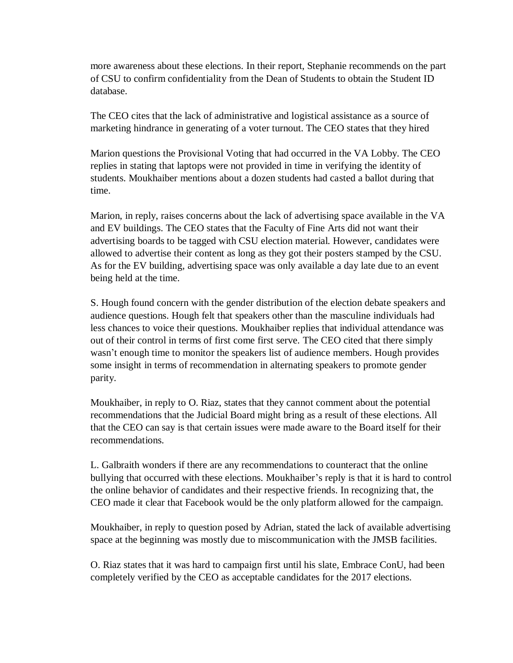more awareness about these elections. In their report, Stephanie recommends on the part of CSU to confirm confidentiality from the Dean of Students to obtain the Student ID database.

The CEO cites that the lack of administrative and logistical assistance as a source of marketing hindrance in generating of a voter turnout. The CEO states that they hired

Marion questions the Provisional Voting that had occurred in the VA Lobby. The CEO replies in stating that laptops were not provided in time in verifying the identity of students. Moukhaiber mentions about a dozen students had casted a ballot during that time.

Marion, in reply, raises concerns about the lack of advertising space available in the VA and EV buildings. The CEO states that the Faculty of Fine Arts did not want their advertising boards to be tagged with CSU election material. However, candidates were allowed to advertise their content as long as they got their posters stamped by the CSU. As for the EV building, advertising space was only available a day late due to an event being held at the time.

S. Hough found concern with the gender distribution of the election debate speakers and audience questions. Hough felt that speakers other than the masculine individuals had less chances to voice their questions. Moukhaiber replies that individual attendance was out of their control in terms of first come first serve. The CEO cited that there simply wasn't enough time to monitor the speakers list of audience members. Hough provides some insight in terms of recommendation in alternating speakers to promote gender parity.

Moukhaiber, in reply to O. Riaz, states that they cannot comment about the potential recommendations that the Judicial Board might bring as a result of these elections. All that the CEO can say is that certain issues were made aware to the Board itself for their recommendations.

L. Galbraith wonders if there are any recommendations to counteract that the online bullying that occurred with these elections. Moukhaiber's reply is that it is hard to control the online behavior of candidates and their respective friends. In recognizing that, the CEO made it clear that Facebook would be the only platform allowed for the campaign.

Moukhaiber, in reply to question posed by Adrian, stated the lack of available advertising space at the beginning was mostly due to miscommunication with the JMSB facilities.

O. Riaz states that it was hard to campaign first until his slate, Embrace ConU, had been completely verified by the CEO as acceptable candidates for the 2017 elections.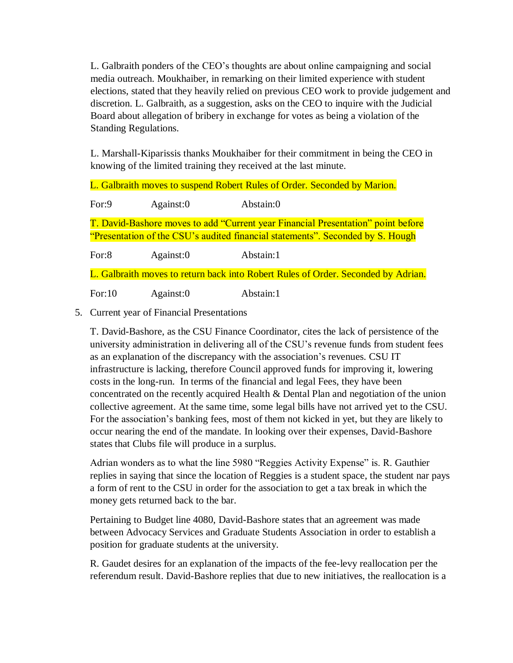L. Galbraith ponders of the CEO's thoughts are about online campaigning and social media outreach. Moukhaiber, in remarking on their limited experience with student elections, stated that they heavily relied on previous CEO work to provide judgement and discretion. L. Galbraith, as a suggestion, asks on the CEO to inquire with the Judicial Board about allegation of bribery in exchange for votes as being a violation of the Standing Regulations.

L. Marshall-Kiparissis thanks Moukhaiber for their commitment in being the CEO in knowing of the limited training they received at the last minute.

| L. Galbraith moves to suspend Robert Rules of Order. Seconded by Marion.          |           |           |
|-----------------------------------------------------------------------------------|-----------|-----------|
| For:9                                                                             | Against:0 | Abstain:0 |
| T. David-Bashore moves to add "Current year Financial Presentation" point before  |           |           |
| "Presentation of the CSU's audited financial statements". Seconded by S. Hough    |           |           |
| For:8                                                                             | Against:0 | Abstain:1 |
| L. Galbraith moves to return back into Robert Rules of Order. Seconded by Adrian. |           |           |
| For: $10$                                                                         | Against:0 | Abstain:1 |

5. Current year of Financial Presentations

T. David-Bashore, as the CSU Finance Coordinator, cites the lack of persistence of the university administration in delivering all of the CSU's revenue funds from student fees as an explanation of the discrepancy with the association's revenues. CSU IT infrastructure is lacking, therefore Council approved funds for improving it, lowering costs in the long-run. In terms of the financial and legal Fees, they have been concentrated on the recently acquired Health & Dental Plan and negotiation of the union collective agreement. At the same time, some legal bills have not arrived yet to the CSU. For the association's banking fees, most of them not kicked in yet, but they are likely to occur nearing the end of the mandate. In looking over their expenses, David-Bashore states that Clubs file will produce in a surplus.

Adrian wonders as to what the line 5980 "Reggies Activity Expense" is. R. Gauthier replies in saying that since the location of Reggies is a student space, the student nar pays a form of rent to the CSU in order for the association to get a tax break in which the money gets returned back to the bar.

Pertaining to Budget line 4080, David-Bashore states that an agreement was made between Advocacy Services and Graduate Students Association in order to establish a position for graduate students at the university.

R. Gaudet desires for an explanation of the impacts of the fee-levy reallocation per the referendum result. David-Bashore replies that due to new initiatives, the reallocation is a